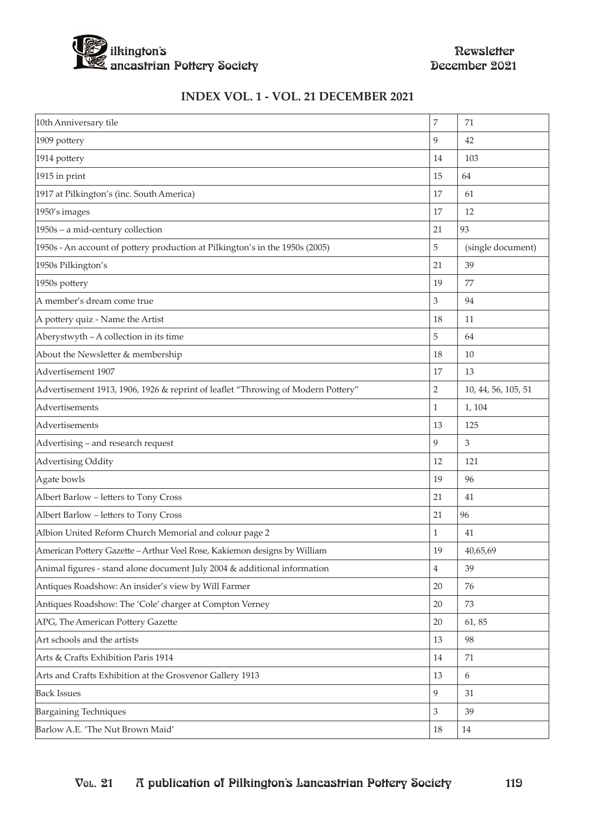

### **INDEX VOL. 1 - VOL. 21 DECEMBER 2021**

| 10th Anniversary tile                                                            | 7              | 71                  |
|----------------------------------------------------------------------------------|----------------|---------------------|
| 1909 pottery                                                                     | 9              | 42                  |
| 1914 pottery                                                                     | 14             | 103                 |
| 1915 in print                                                                    | 15             | 64                  |
| 1917 at Pilkington's (inc. South America)                                        | 17             | 61                  |
| 1950's images                                                                    | 17             | 12                  |
| 1950s - a mid-century collection                                                 | 21             | 93                  |
| 1950s - An account of pottery production at Pilkington's in the 1950s (2005)     | 5              | (single document)   |
| 1950s Pilkington's                                                               | 21             | 39                  |
| 1950s pottery                                                                    | 19             | 77                  |
| A member's dream come true                                                       | 3              | 94                  |
| A pottery quiz - Name the Artist                                                 | 18             | 11                  |
| Aberystwyth - A collection in its time                                           | 5              | 64                  |
| About the Newsletter & membership                                                | 18             | 10                  |
| Advertisement 1907                                                               | 17             | 13                  |
| Advertisement 1913, 1906, 1926 & reprint of leaflet "Throwing of Modern Pottery" | $\overline{2}$ | 10, 44, 56, 105, 51 |
| Advertisements                                                                   | $\mathbf{1}$   | 1, 104              |
| Advertisements                                                                   | 13             | 125                 |
| Advertising - and research request                                               | 9              | 3                   |
| Advertising Oddity                                                               | 12             | 121                 |
| Agate bowls                                                                      | 19             | 96                  |
| Albert Barlow - letters to Tony Cross                                            | 21             | 41                  |
| Albert Barlow - letters to Tony Cross                                            | 21             | 96                  |
| Albion United Reform Church Memorial and colour page 2                           | 1              | 41                  |
| American Pottery Gazette - Arthur Veel Rose, Kakiemon designs by William         | 19             | 40,65,69            |
| Animal figures - stand alone document July 2004 & additional information         | $\overline{4}$ | 39                  |
| Antiques Roadshow: An insider's view by Will Farmer                              | 20             | 76                  |
| Antiques Roadshow: The 'Cole' charger at Compton Verney                          | 20             | 73                  |
| APG, The American Pottery Gazette                                                | 20             | 61,85               |
| Art schools and the artists                                                      | 13             | 98                  |
| Arts & Crafts Exhibition Paris 1914                                              | 14             | 71                  |
| Arts and Crafts Exhibition at the Grosvenor Gallery 1913                         | 13             | 6                   |
| <b>Back Issues</b>                                                               | 9              | 31                  |
| <b>Bargaining Techniques</b>                                                     | $\mathfrak 3$  | 39                  |
| Barlow A.E. 'The Nut Brown Maid'                                                 | 18             | 14                  |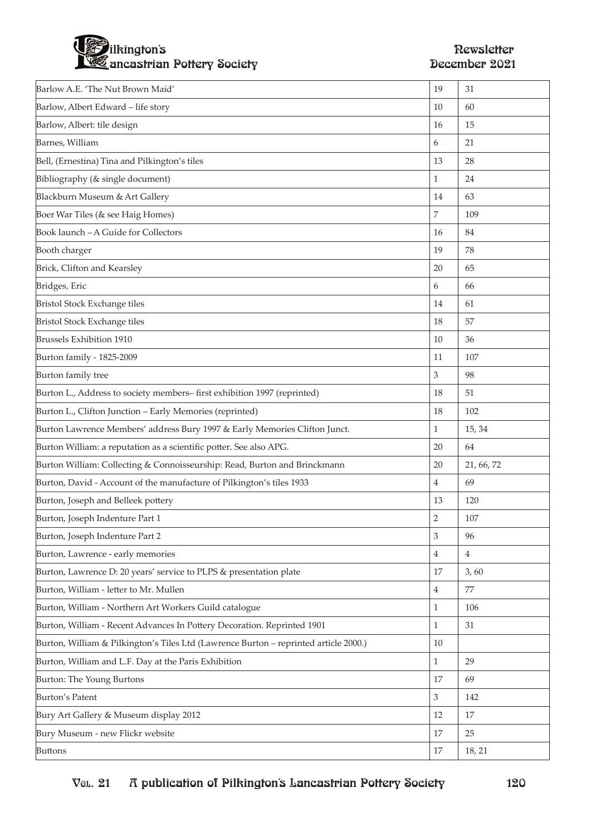

| Barlow A.E. 'The Nut Brown Maid'                                                     | 19                          | 31         |
|--------------------------------------------------------------------------------------|-----------------------------|------------|
| Barlow, Albert Edward - life story                                                   | 10                          | 60         |
| Barlow, Albert: tile design                                                          | 16                          | 15         |
| Barnes, William                                                                      | 6                           | 21         |
| Bell, (Ernestina) Tina and Pilkington's tiles                                        | 13                          | 28         |
| Bibliography (& single document)                                                     | $\mathbf{1}$                | 24         |
| Blackburn Museum & Art Gallery                                                       | 14                          | 63         |
| Boer War Tiles (& see Haig Homes)                                                    | 7                           | 109        |
| Book launch - A Guide for Collectors                                                 | 16                          | 84         |
| Booth charger                                                                        | 19                          | 78         |
| Brick, Clifton and Kearsley                                                          | 20                          | 65         |
| Bridges, Eric                                                                        | 6                           | 66         |
| <b>Bristol Stock Exchange tiles</b>                                                  | 14                          | 61         |
| <b>Bristol Stock Exchange tiles</b>                                                  | 18                          | 57         |
| <b>Brussels Exhibition 1910</b>                                                      | 10                          | 36         |
| Burton family - 1825-2009                                                            | 11                          | 107        |
| Burton family tree                                                                   | 3                           | 98         |
| Burton L., Address to society members-first exhibition 1997 (reprinted)              | 18                          | 51         |
| Burton L., Clifton Junction - Early Memories (reprinted)                             | 18                          | 102        |
| Burton Lawrence Members' address Bury 1997 & Early Memories Clifton Junct.           | $\mathbf{1}$                | 15, 34     |
| Burton William: a reputation as a scientific potter. See also APG.                   | 20                          | 64         |
| Burton William: Collecting & Connoisseurship: Read, Burton and Brinckmann            | 20                          | 21, 66, 72 |
| Burton, David - Account of the manufacture of Pilkington's tiles 1933                | 4                           | 69         |
| Burton, Joseph and Belleek pottery                                                   | 13                          | 120        |
| Burton, Joseph Indenture Part 1                                                      | $\overline{2}$              | 107        |
| Burton, Joseph Indenture Part 2                                                      | $\ensuremath{\mathsf{3}}$   | 96         |
| Burton, Lawrence - early memories                                                    | $\overline{4}$              | 4          |
| Burton, Lawrence D: 20 years' service to PLPS & presentation plate                   | 17                          | 3,60       |
| Burton, William - letter to Mr. Mullen                                               | $\overline{4}$              | 77         |
| Burton, William - Northern Art Workers Guild catalogue                               | $\mathbf{1}$                | 106        |
| Burton, William - Recent Advances In Pottery Decoration. Reprinted 1901              | $\mathbf{1}$                | 31         |
| Burton, William & Pilkington's Tiles Ltd (Lawrence Burton - reprinted article 2000.) | 10                          |            |
| Burton, William and L.F. Day at the Paris Exhibition                                 | $\mathbf{1}$                | 29         |
| Burton: The Young Burtons                                                            | 17                          | 69         |
| <b>Burton's Patent</b>                                                               | $\ensuremath{\mathfrak{Z}}$ | 142        |
| Bury Art Gallery & Museum display 2012                                               | 12                          | 17         |
| Bury Museum - new Flickr website                                                     | 17                          | 25         |
| <b>Buttons</b>                                                                       | 17                          | 18, 21     |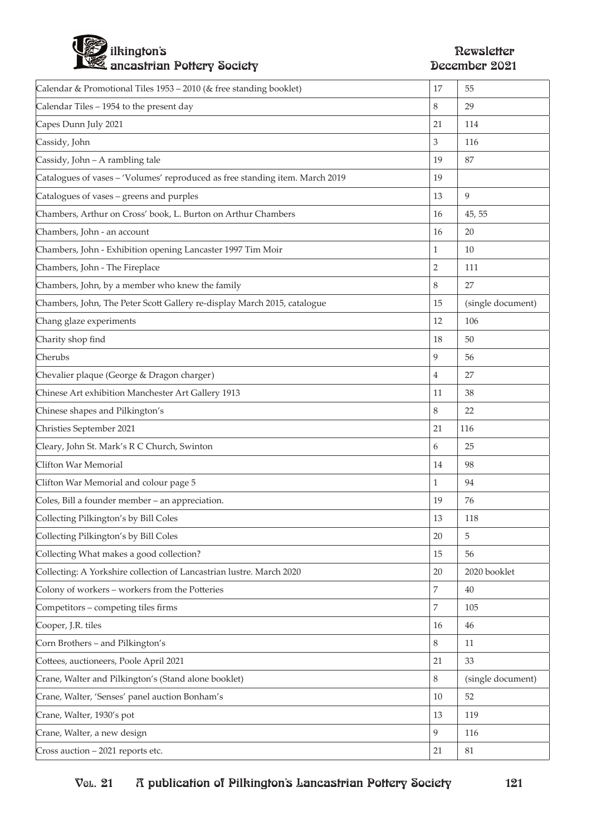# ilkington's the contraction of the contraction of the contraction of the contraction of  $\mathbb R$  existence of the contraction of the contraction of the contraction of the contraction of the contraction of the contraction of ancastrian Pottery Society December 2021

| Calendar & Promotional Tiles 1953 – 2010 (& free standing booklet)           | 17             | 55                |
|------------------------------------------------------------------------------|----------------|-------------------|
| Calendar Tiles - 1954 to the present day                                     | 8              | 29                |
| Capes Dunn July 2021                                                         | 21             | 114               |
| Cassidy, John                                                                | 3              | 116               |
| Cassidy, John - A rambling tale                                              | 19             | 87                |
| Catalogues of vases - 'Volumes' reproduced as free standing item. March 2019 | 19             |                   |
| Catalogues of vases - greens and purples                                     | 13             | 9                 |
| Chambers, Arthur on Cross' book, L. Burton on Arthur Chambers                | 16             | 45, 55            |
| Chambers, John - an account                                                  | 16             | 20                |
| Chambers, John - Exhibition opening Lancaster 1997 Tim Moir                  | 1              | 10                |
| Chambers, John - The Fireplace                                               | $\overline{2}$ | 111               |
| Chambers, John, by a member who knew the family                              | 8              | 27                |
| Chambers, John, The Peter Scott Gallery re-display March 2015, catalogue     | 15             | (single document) |
| Chang glaze experiments                                                      | 12             | 106               |
| Charity shop find                                                            | 18             | 50                |
| Cherubs                                                                      | 9              | 56                |
| Chevalier plaque (George & Dragon charger)                                   | 4              | 27                |
| Chinese Art exhibition Manchester Art Gallery 1913                           | 11             | 38                |
| Chinese shapes and Pilkington's                                              | 8              | 22                |
| Christies September 2021                                                     | 21             | 116               |
| Cleary, John St. Mark's R C Church, Swinton                                  | 6              | 25                |
| Clifton War Memorial                                                         | 14             | 98                |
| Clifton War Memorial and colour page 5                                       | 1              | 94                |
| Coles, Bill a founder member - an appreciation.                              | 19             | 76                |
| Collecting Pilkington's by Bill Coles                                        | 13             | 118               |
| Collecting Pilkington's by Bill Coles                                        | 20             | 5                 |
| Collecting What makes a good collection?                                     | 15             | 56                |
| Collecting: A Yorkshire collection of Lancastrian lustre. March 2020         | 20             | 2020 booklet      |
| Colony of workers - workers from the Potteries                               | $\overline{7}$ | 40                |
| Competitors - competing tiles firms                                          | 7              | 105               |
| Cooper, J.R. tiles                                                           | 16             | 46                |
| Corn Brothers - and Pilkington's                                             | 8              | 11                |
| Cottees, auctioneers, Poole April 2021                                       | 21             | 33                |
| Crane, Walter and Pilkington's (Stand alone booklet)                         | 8              | (single document) |
| Crane, Walter, 'Senses' panel auction Bonham's                               | 10             | 52                |
| Crane, Walter, 1930's pot                                                    | 13             | 119               |
| Crane, Walter, a new design                                                  | 9              | 116               |
| Cross auction - 2021 reports etc.                                            | 21             | $81\,$            |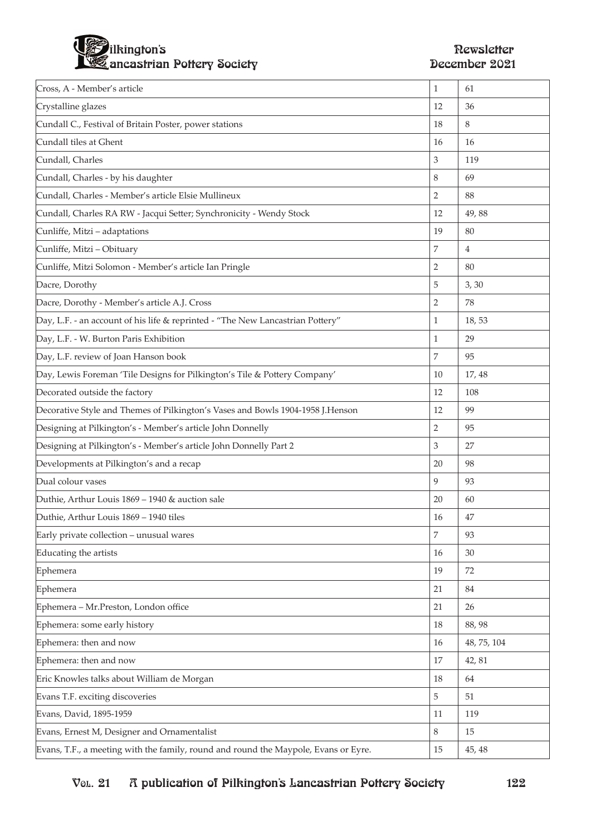

| Cross, A - Member's article                                                         | $\mathbf{1}$     | 61             |
|-------------------------------------------------------------------------------------|------------------|----------------|
| Crystalline glazes                                                                  | 12               | 36             |
| Cundall C., Festival of Britain Poster, power stations                              | 18               | 8              |
| Cundall tiles at Ghent                                                              | 16               | 16             |
| Cundall, Charles                                                                    | 3                | 119            |
| Cundall, Charles - by his daughter                                                  | 8                | 69             |
| Cundall, Charles - Member's article Elsie Mullineux                                 | $\overline{2}$   | 88             |
| Cundall, Charles RA RW - Jacqui Setter; Synchronicity - Wendy Stock                 | 12               | 49,88          |
| Cunliffe, Mitzi - adaptations                                                       | 19               | 80             |
| Cunliffe, Mitzi - Obituary                                                          | $\overline{7}$   | $\overline{4}$ |
| Cunliffe, Mitzi Solomon - Member's article Ian Pringle                              | $\overline{2}$   | 80             |
| Dacre, Dorothy                                                                      | 5                | 3, 30          |
| Dacre, Dorothy - Member's article A.J. Cross                                        | $\overline{2}$   | 78             |
| Day, L.F. - an account of his life & reprinted - "The New Lancastrian Pottery"      | 1                | 18,53          |
| Day, L.F. - W. Burton Paris Exhibition                                              | 1                | 29             |
| Day, L.F. review of Joan Hanson book                                                | $\overline{7}$   | 95             |
| Day, Lewis Foreman 'Tile Designs for Pilkington's Tile & Pottery Company'           | 10               | 17, 48         |
| Decorated outside the factory                                                       | 12               | 108            |
| Decorative Style and Themes of Pilkington's Vases and Bowls 1904-1958 J.Henson      | 12               | 99             |
| Designing at Pilkington's - Member's article John Donnelly                          | $\overline{2}$   | 95             |
| Designing at Pilkington's - Member's article John Donnelly Part 2                   | 3                | 27             |
| Developments at Pilkington's and a recap                                            | 20               | 98             |
| Dual colour vases                                                                   | 9                | 93             |
| Duthie, Arthur Louis 1869 - 1940 & auction sale                                     | 20               | 60             |
| Duthie, Arthur Louis 1869 - 1940 tiles                                              | 16               | 47             |
| Early private collection - unusual wares                                            | $\boldsymbol{7}$ | 93             |
| Educating the artists                                                               | 16               | 30             |
| Ephemera                                                                            | 19               | 72             |
| Ephemera                                                                            | 21               | 84             |
| Ephemera - Mr.Preston, London office                                                | 21               | 26             |
| Ephemera: some early history                                                        | 18               | 88,98          |
| Ephemera: then and now                                                              | 16               | 48, 75, 104    |
| Ephemera: then and now                                                              | 17               | 42, 81         |
| Eric Knowles talks about William de Morgan                                          | 18               | 64             |
| Evans T.F. exciting discoveries                                                     | $\overline{5}$   | 51             |
| Evans, David, 1895-1959                                                             | 11               | 119            |
| Evans, Ernest M, Designer and Ornamentalist                                         | 8                | 15             |
| Evans, T.F., a meeting with the family, round and round the Maypole, Evans or Eyre. | 15               | 45, 48         |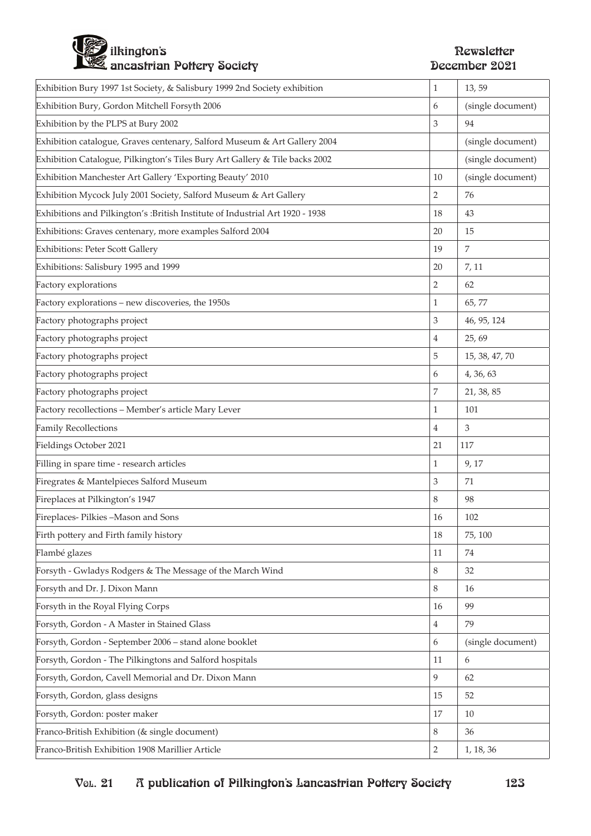

| Exhibition Bury 1997 1st Society, & Salisbury 1999 2nd Society exhibition      | 1              | 13, 59            |
|--------------------------------------------------------------------------------|----------------|-------------------|
| Exhibition Bury, Gordon Mitchell Forsyth 2006                                  | 6              | (single document) |
| Exhibition by the PLPS at Bury 2002                                            | 3              | 94                |
| Exhibition catalogue, Graves centenary, Salford Museum & Art Gallery 2004      |                | (single document) |
| Exhibition Catalogue, Pilkington's Tiles Bury Art Gallery & Tile backs 2002    |                | (single document) |
| Exhibition Manchester Art Gallery 'Exporting Beauty' 2010                      | 10             | (single document) |
| Exhibition Mycock July 2001 Society, Salford Museum & Art Gallery              | $\overline{2}$ | 76                |
| Exhibitions and Pilkington's : British Institute of Industrial Art 1920 - 1938 | 18             | 43                |
| Exhibitions: Graves centenary, more examples Salford 2004                      | 20             | 15                |
| <b>Exhibitions: Peter Scott Gallery</b>                                        | 19             | $\overline{7}$    |
| Exhibitions: Salisbury 1995 and 1999                                           | 20             | 7, 11             |
| Factory explorations                                                           | 2              | 62                |
| Factory explorations - new discoveries, the 1950s                              | $\mathbf{1}$   | 65,77             |
| Factory photographs project                                                    | 3              | 46, 95, 124       |
| Factory photographs project                                                    | $\overline{4}$ | 25, 69            |
| Factory photographs project                                                    | 5              | 15, 38, 47, 70    |
| Factory photographs project                                                    | 6              | 4, 36, 63         |
| Factory photographs project                                                    | 7              | 21, 38, 85        |
| Factory recollections - Member's article Mary Lever                            | 1              | 101               |
| Family Recollections                                                           | $\overline{4}$ | 3                 |
| Fieldings October 2021                                                         | 21             | 117               |
| Filling in spare time - research articles                                      | 1              | 9, 17             |
| Firegrates & Mantelpieces Salford Museum                                       | 3              | 71                |
| Fireplaces at Pilkington's 1947                                                | 8              | 98                |
| Fireplaces-Pilkies-Mason and Sons                                              | 16             | 102               |
| Firth pottery and Firth family history                                         | 18             | 75, 100           |
| Flambé glazes                                                                  | 11             | 74                |
| Forsyth - Gwladys Rodgers & The Message of the March Wind                      | 8              | 32                |
| Forsyth and Dr. J. Dixon Mann                                                  | 8              | 16                |
| Forsyth in the Royal Flying Corps                                              | 16             | 99                |
| Forsyth, Gordon - A Master in Stained Glass                                    | 4              | 79                |
| Forsyth, Gordon - September 2006 - stand alone booklet                         | 6              | (single document) |
| Forsyth, Gordon - The Pilkingtons and Salford hospitals                        | 11             | 6                 |
| Forsyth, Gordon, Cavell Memorial and Dr. Dixon Mann                            | 9              | 62                |
| Forsyth, Gordon, glass designs                                                 | 15             | 52                |
| Forsyth, Gordon: poster maker                                                  | 17             | 10                |
| Franco-British Exhibition (& single document)                                  | 8              | 36                |
| Franco-British Exhibition 1908 Marillier Article                               | $\overline{2}$ | 1, 18, 36         |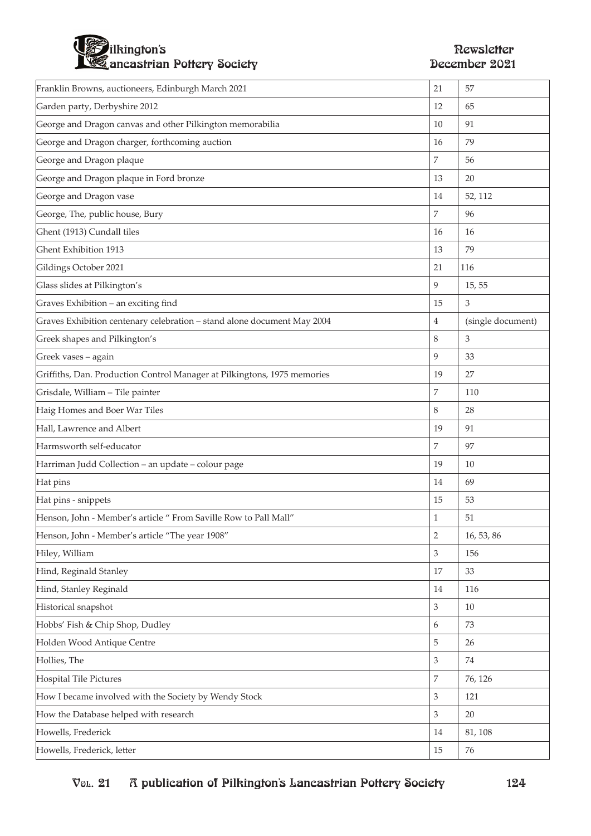

| Franklin Browns, auctioneers, Edinburgh March 2021                       | 21                          | 57                |
|--------------------------------------------------------------------------|-----------------------------|-------------------|
| Garden party, Derbyshire 2012                                            | 12                          | 65                |
| George and Dragon canvas and other Pilkington memorabilia                | 10                          | 91                |
| George and Dragon charger, forthcoming auction                           | 16                          | 79                |
| George and Dragon plaque                                                 | 7                           | 56                |
| George and Dragon plaque in Ford bronze                                  | 13                          | 20                |
| George and Dragon vase                                                   | 14                          | 52, 112           |
| George, The, public house, Bury                                          | 7                           | 96                |
| Ghent (1913) Cundall tiles                                               | 16                          | 16                |
| Ghent Exhibition 1913                                                    | 13                          | 79                |
| Gildings October 2021                                                    | 21                          | 116               |
| Glass slides at Pilkington's                                             | 9                           | 15, 55            |
| Graves Exhibition - an exciting find                                     | 15                          | 3                 |
| Graves Exhibition centenary celebration - stand alone document May 2004  | $\overline{4}$              | (single document) |
| Greek shapes and Pilkington's                                            | 8                           | 3                 |
| Greek vases - again                                                      | 9                           | 33                |
| Griffiths, Dan. Production Control Manager at Pilkingtons, 1975 memories | 19                          | 27                |
| Grisdale, William - Tile painter                                         | 7                           | 110               |
| Haig Homes and Boer War Tiles                                            | 8                           | 28                |
| Hall, Lawrence and Albert                                                | 19                          | 91                |
| Harmsworth self-educator                                                 | 7                           | 97                |
| Harriman Judd Collection - an update - colour page                       | 19                          | 10                |
| Hat pins                                                                 | 14                          | 69                |
| Hat pins - snippets                                                      | 15                          | 53                |
| Henson, John - Member's article " From Saville Row to Pall Mall"         | $\mathbf{1}$                | 51                |
| Henson, John - Member's article "The year 1908"                          | $\sqrt{2}$                  | 16, 53, 86        |
| Hiley, William                                                           | $\mathfrak{Z}$              | 156               |
| Hind, Reginald Stanley                                                   | 17                          | 33                |
| Hind, Stanley Reginald                                                   | 14                          | 116               |
| Historical snapshot                                                      | $\mathfrak{Z}$              | 10                |
| Hobbs' Fish & Chip Shop, Dudley                                          | 6                           | 73                |
| Holden Wood Antique Centre                                               | 5                           | 26                |
| Hollies, The                                                             | $\,$ 3 $\,$                 | 74                |
| Hospital Tile Pictures                                                   | $\overline{7}$              | 76, 126           |
| How I became involved with the Society by Wendy Stock                    | $\ensuremath{\mathfrak{Z}}$ | 121               |
| How the Database helped with research                                    | $\mathfrak{Z}$              | 20                |
| Howells, Frederick                                                       | 14                          | 81, 108           |
| Howells, Frederick, letter                                               | 15                          | 76                |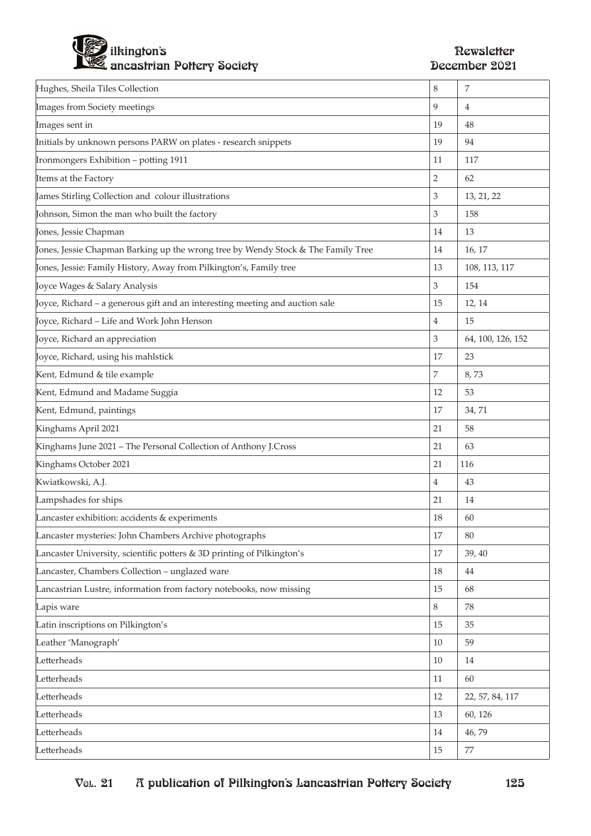

| Hughes, Sheila Tiles Collection                                                  | 8              | 7                 |
|----------------------------------------------------------------------------------|----------------|-------------------|
| Images from Society meetings                                                     | 9              | 4                 |
| Images sent in                                                                   | 19             | 48                |
| Initials by unknown persons PARW on plates - research snippets                   | 19             | 94                |
| Ironmongers Exhibition - potting 1911                                            | 11             | 117               |
| Items at the Factory                                                             | 2              | 62                |
| James Stirling Collection and colour illustrations                               | 3              | 13, 21, 22        |
| Johnson, Simon the man who built the factory                                     | 3              | 158               |
| Jones, Jessie Chapman                                                            | 14             | 13                |
| Jones, Jessie Chapman Barking up the wrong tree by Wendy Stock & The Family Tree | 14             | 16, 17            |
| Jones, Jessie: Family History, Away from Pilkington's, Family tree               | 13             | 108, 113, 117     |
| Joyce Wages & Salary Analysis                                                    | 3              | 154               |
| Joyce, Richard – a generous gift and an interesting meeting and auction sale     | 15             | 12, 14            |
| Joyce, Richard – Life and Work John Henson                                       | 4              | 15                |
| Joyce, Richard an appreciation                                                   | 3              | 64, 100, 126, 152 |
| Joyce, Richard, using his mahlstick                                              | 17             | 23                |
| Kent, Edmund & tile example                                                      | 7              | 8,73              |
| Kent, Edmund and Madame Suggia                                                   | 12             | 53                |
| Kent, Edmund, paintings                                                          | 17             | 34,71             |
| Kinghams April 2021                                                              | 21             | 58                |
| Kinghams June 2021 - The Personal Collection of Anthony J.Cross                  | 21             | 63                |
| Kinghams October 2021                                                            | 21             | 116               |
| Kwiatkowski, A.J.                                                                | $\overline{4}$ | 43                |
| Lampshades for ships                                                             | 21             | 14                |
| Lancaster exhibition: accidents & experiments                                    | 18             | 60                |
| Lancaster mysteries: John Chambers Archive photographs                           | 17             | 80                |
| Lancaster University, scientific potters & 3D printing of Pilkington's           | 17             | 39, 40            |
| Lancaster, Chambers Collection - unglazed ware                                   | 18             | 44                |
| Lancastrian Lustre, information from factory notebooks, now missing              | 15             | 68                |
| Lapis ware                                                                       | 8              | 78                |
| Latin inscriptions on Pilkington's                                               | 15             | 35                |
| Leather 'Manograph'                                                              | 10             | 59                |
| Letterheads                                                                      | 10             | 14                |
| Letterheads                                                                      | 11             | 60                |
| Letterheads                                                                      | 12             | 22, 57, 84, 117   |
| Letterheads                                                                      | 13             | 60, 126           |
| Letterheads                                                                      | 14             | 46,79             |
| Letterheads                                                                      | 15             | 77                |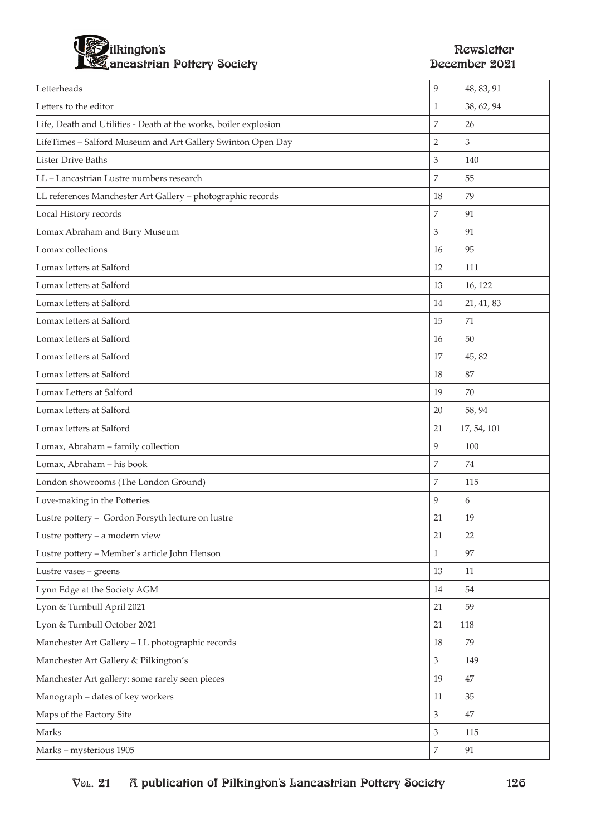

| Letterheads                                                      | 9              | 48, 83, 91  |
|------------------------------------------------------------------|----------------|-------------|
| Letters to the editor                                            | 1              | 38, 62, 94  |
| Life, Death and Utilities - Death at the works, boiler explosion | $\overline{7}$ | 26          |
| LifeTimes - Salford Museum and Art Gallery Swinton Open Day      | $\overline{2}$ | 3           |
| <b>Lister Drive Baths</b>                                        | $\mathfrak 3$  | 140         |
| LL - Lancastrian Lustre numbers research                         | $\overline{7}$ | 55          |
| LL references Manchester Art Gallery - photographic records      | 18             | 79          |
| Local History records                                            | $\overline{7}$ | 91          |
| Lomax Abraham and Bury Museum                                    | $\mathfrak 3$  | 91          |
| Lomax collections                                                | 16             | 95          |
| Lomax letters at Salford                                         | 12             | 111         |
| Lomax letters at Salford                                         | 13             | 16, 122     |
| Lomax letters at Salford                                         | 14             | 21, 41, 83  |
| Lomax letters at Salford                                         | 15             | 71          |
| Lomax letters at Salford                                         | 16             | 50          |
| Lomax letters at Salford                                         | 17             | 45, 82      |
| Lomax letters at Salford                                         | 18             | 87          |
| Lomax Letters at Salford                                         | 19             | 70          |
| Lomax letters at Salford                                         | 20             | 58, 94      |
|                                                                  |                |             |
| Lomax letters at Salford                                         | 21             | 17, 54, 101 |
| Lomax, Abraham - family collection                               | 9              | 100         |
| Lomax, Abraham - his book                                        | $\overline{7}$ | 74          |
| London showrooms (The London Ground)                             | $\overline{7}$ | 115         |
| Love-making in the Potteries                                     | 9              | 6           |
| Lustre pottery - Gordon Forsyth lecture on lustre                | 21             | 19          |
| Lustre pottery - a modern view                                   | 21             | 22          |
| Lustre pottery - Member's article John Henson                    | $\mathbf{1}$   | 97          |
| Lustre vases - greens                                            | 13             | 11          |
| Lynn Edge at the Society AGM                                     | 14             | 54          |
| Lyon & Turnbull April 2021                                       | 21             | 59          |
| Lyon & Turnbull October 2021                                     | 21             | 118         |
| Manchester Art Gallery - LL photographic records                 | 18             | 79          |
| Manchester Art Gallery & Pilkington's                            | $\mathfrak{Z}$ | 149         |
| Manchester Art gallery: some rarely seen pieces                  | 19             | 47          |
| Manograph - dates of key workers                                 | 11             | 35          |
| Maps of the Factory Site                                         | $\mathfrak{Z}$ | 47          |
| Marks                                                            | $\mathfrak{Z}$ | 115         |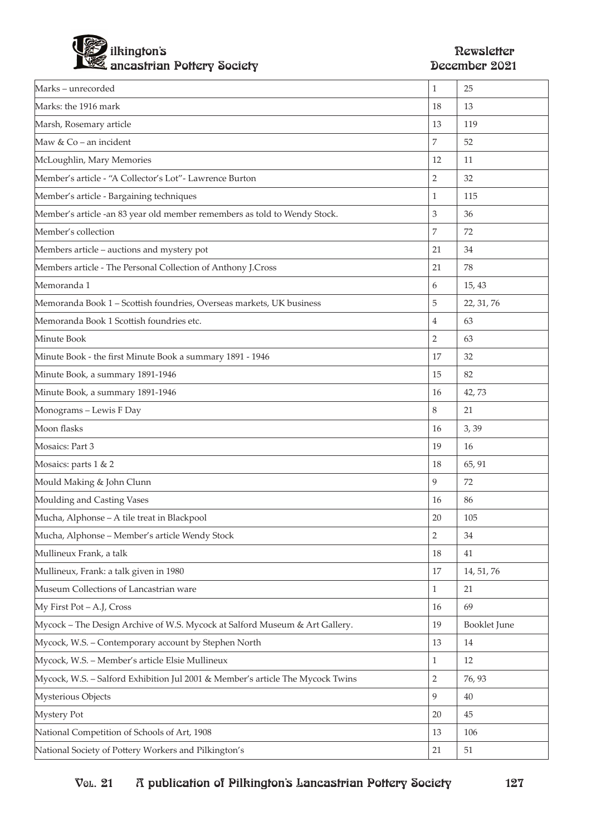

| Marks-unrecorded                                                               | $\mathbf{1}$   | 25           |
|--------------------------------------------------------------------------------|----------------|--------------|
| Marks: the 1916 mark                                                           | 18             | 13           |
| Marsh, Rosemary article                                                        | 13             | 119          |
| Maw & Co – an incident                                                         | 7              | 52           |
| McLoughlin, Mary Memories                                                      | 12             | 11           |
| Member's article - "A Collector's Lot" - Lawrence Burton                       | 2              | 32           |
| Member's article - Bargaining techniques                                       | 1              | 115          |
| Member's article -an 83 year old member remembers as told to Wendy Stock.      | 3              | 36           |
| Member's collection                                                            | 7              | 72           |
| Members article - auctions and mystery pot                                     | 21             | 34           |
| Members article - The Personal Collection of Anthony J.Cross                   | 21             | 78           |
| Memoranda 1                                                                    | 6              | 15, 43       |
| Memoranda Book 1 - Scottish foundries, Overseas markets, UK business           | 5              | 22, 31, 76   |
| Memoranda Book 1 Scottish foundries etc.                                       | $\overline{4}$ | 63           |
| Minute Book                                                                    | $\overline{2}$ | 63           |
| Minute Book - the first Minute Book a summary 1891 - 1946                      | 17             | 32           |
| Minute Book, a summary 1891-1946                                               | 15             | 82           |
| Minute Book, a summary 1891-1946                                               | 16             | 42,73        |
| Monograms - Lewis F Day                                                        | 8              | 21           |
| Moon flasks                                                                    | 16             | 3,39         |
| Mosaics: Part 3                                                                | 19             | 16           |
| Mosaics: parts 1 & 2                                                           | 18             | 65, 91       |
| Mould Making & John Clunn                                                      | 9              | 72           |
| Moulding and Casting Vases                                                     | 16             | 86           |
| Mucha, Alphonse - A tile treat in Blackpool                                    | 20             | 105          |
| Mucha, Alphonse - Member's article Wendy Stock                                 | $\sqrt{2}$     | 34           |
| Mullineux Frank, a talk                                                        | 18             | 41           |
| Mullineux, Frank: a talk given in 1980                                         | 17             | 14, 51, 76   |
| Museum Collections of Lancastrian ware                                         | $\mathbf{1}$   | 21           |
| My First Pot - A.J, Cross                                                      | 16             | 69           |
| Mycock - The Design Archive of W.S. Mycock at Salford Museum & Art Gallery.    | 19             | Booklet June |
| Mycock, W.S. - Contemporary account by Stephen North                           | 13             | 14           |
| Mycock, W.S. - Member's article Elsie Mullineux                                | $\mathbf{1}$   | 12           |
| Mycock, W.S. - Salford Exhibition Jul 2001 & Member's article The Mycock Twins | $\overline{2}$ | 76, 93       |
| Mysterious Objects                                                             | 9              | 40           |
| Mystery Pot                                                                    | 20             | 45           |
| National Competition of Schools of Art, 1908                                   | 13             | 106          |
| National Society of Pottery Workers and Pilkington's                           | 21             | 51           |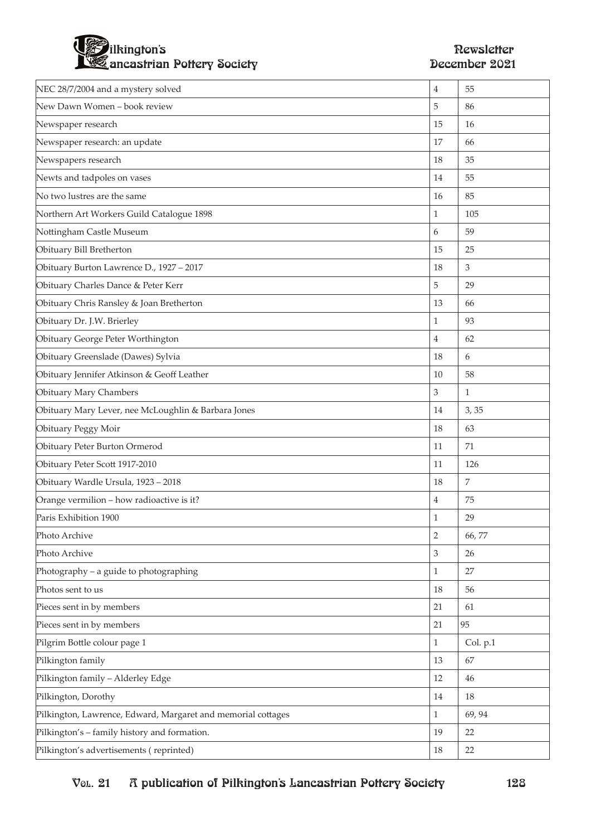

| NEC 28/7/2004 and a mystery solved                           | $\overline{4}$ | 55             |
|--------------------------------------------------------------|----------------|----------------|
| New Dawn Women - book review                                 | 5              | 86             |
| Newspaper research                                           | 15             | 16             |
| Newspaper research: an update                                | 17             | 66             |
| Newspapers research                                          | 18             | 35             |
| Newts and tadpoles on vases                                  | 14             | 55             |
| No two lustres are the same                                  | 16             | 85             |
| Northern Art Workers Guild Catalogue 1898                    | 1              | 105            |
| Nottingham Castle Museum                                     | 6              | 59             |
| Obituary Bill Bretherton                                     | 15             | 25             |
| Obituary Burton Lawrence D., 1927 - 2017                     | 18             | 3              |
| Obituary Charles Dance & Peter Kerr                          | 5              | 29             |
| Obituary Chris Ransley & Joan Bretherton                     | 13             | 66             |
| Obituary Dr. J.W. Brierley                                   | $\mathbf{1}$   | 93             |
| Obituary George Peter Worthington                            | 4              | 62             |
| Obituary Greenslade (Dawes) Sylvia                           | 18             | 6              |
| Obituary Jennifer Atkinson & Geoff Leather                   | 10             | 58             |
| Obituary Mary Chambers                                       | 3              | $\mathbf{1}$   |
| Obituary Mary Lever, nee McLoughlin & Barbara Jones          | 14             | 3,35           |
| Obituary Peggy Moir                                          | 18             | 63             |
| Obituary Peter Burton Ormerod                                | 11             | 71             |
| Obituary Peter Scott 1917-2010                               | 11             | 126            |
| Obituary Wardle Ursula, 1923 - 2018                          | 18             | $\overline{7}$ |
| Orange vermilion - how radioactive is it?                    | 4              | 75             |
| Paris Exhibition 1900                                        | 1              | 29             |
| Photo Archive                                                | $\mathbf 2$    | 66,77          |
| Photo Archive                                                | 3              | 26             |
| Photography – a guide to photographing                       | $\mathbf{1}$   | 27             |
| Photos sent to us                                            | 18             | 56             |
| Pieces sent in by members                                    | 21             | 61             |
| Pieces sent in by members                                    | 21             | 95             |
| Pilgrim Bottle colour page 1                                 | 1              | Col. p.1       |
| Pilkington family                                            | 13             | 67             |
| Pilkington family - Alderley Edge                            | 12             | 46             |
| Pilkington, Dorothy                                          | 14             | 18             |
| Pilkington, Lawrence, Edward, Margaret and memorial cottages | $\mathbf{1}$   | 69, 94         |
| Pilkington's - family history and formation.                 | 19             | 22             |
| Pilkington's advertisements (reprinted)                      | 18             | 22             |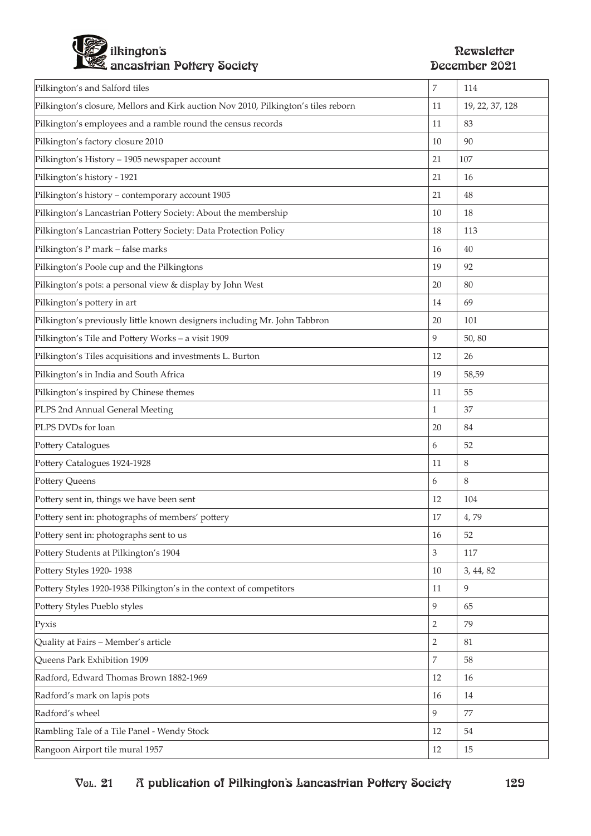

| Pilkington's and Salford tiles                                                     | $\overline{7}$ | 114             |
|------------------------------------------------------------------------------------|----------------|-----------------|
| Pilkington's closure, Mellors and Kirk auction Nov 2010, Pilkington's tiles reborn | 11             | 19, 22, 37, 128 |
| Pilkington's employees and a ramble round the census records                       | 11             | 83              |
| Pilkington's factory closure 2010                                                  | 10             | 90              |
| Pilkington's History - 1905 newspaper account                                      | 21             | 107             |
| Pilkington's history - 1921                                                        | 21             | 16              |
| Pilkington's history - contemporary account 1905                                   | 21             | 48              |
| Pilkington's Lancastrian Pottery Society: About the membership                     | 10             | 18              |
| Pilkington's Lancastrian Pottery Society: Data Protection Policy                   | 18             | 113             |
| Pilkington's P mark - false marks                                                  | 16             | 40              |
| Pilkington's Poole cup and the Pilkingtons                                         | 19             | 92              |
| Pilkington's pots: a personal view & display by John West                          | 20             | 80              |
| Pilkington's pottery in art                                                        | 14             | 69              |
| Pilkington's previously little known designers including Mr. John Tabbron          | 20             | 101             |
| Pilkington's Tile and Pottery Works - a visit 1909                                 | 9              | 50,80           |
| Pilkington's Tiles acquisitions and investments L. Burton                          | 12             | 26              |
| Pilkington's in India and South Africa                                             | 19             | 58,59           |
| Pilkington's inspired by Chinese themes                                            | 11             | 55              |
| PLPS 2nd Annual General Meeting                                                    | 1              | 37              |
| PLPS DVDs for loan                                                                 | 20             | 84              |
| Pottery Catalogues                                                                 | 6              | 52              |
| Pottery Catalogues 1924-1928                                                       | 11             | 8               |
| Pottery Queens                                                                     | 6              | 8               |
| Pottery sent in, things we have been sent                                          | 12             | 104             |
| Pottery sent in: photographs of members' pottery                                   | 17             | 4,79            |
| Pottery sent in: photographs sent to us                                            | 16             | 52              |
| Pottery Students at Pilkington's 1904                                              | $\mathfrak{Z}$ | 117             |
| Pottery Styles 1920-1938                                                           | 10             | 3, 44, 82       |
| Pottery Styles 1920-1938 Pilkington's in the context of competitors                | 11             | 9               |
| Pottery Styles Pueblo styles                                                       | 9              | 65              |
| Pyxis                                                                              | $\overline{2}$ | 79              |
| Quality at Fairs - Member's article                                                | $\overline{2}$ | 81              |
| Queens Park Exhibition 1909                                                        | $\overline{7}$ | 58              |
| Radford, Edward Thomas Brown 1882-1969                                             | 12             | 16              |
| Radford's mark on lapis pots                                                       | 16             | 14              |
| Radford's wheel                                                                    | 9              | 77              |
| Rambling Tale of a Tile Panel - Wendy Stock                                        | 12             | 54              |
| Rangoon Airport tile mural 1957                                                    | 12             | 15              |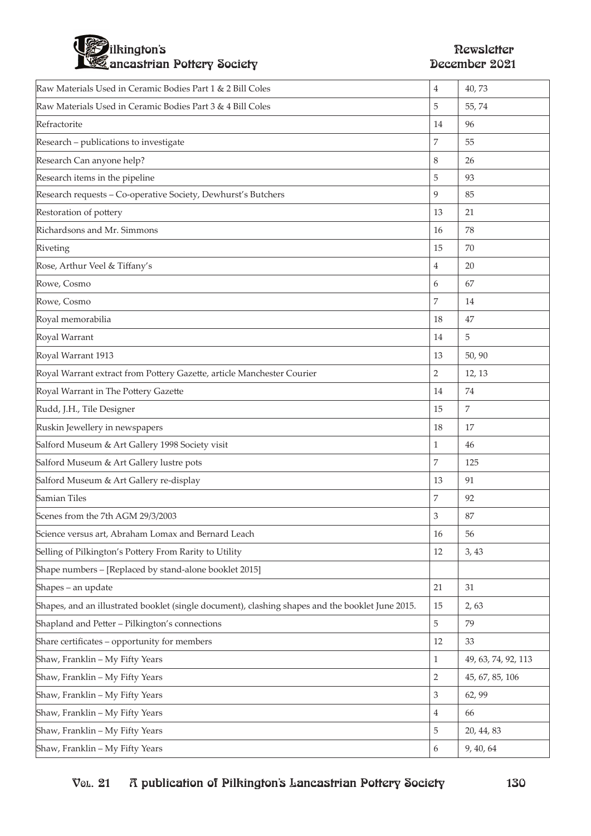## ilkington's Newsletter ancastrian Pottery Society

| Raw Materials Used in Ceramic Bodies Part 1 & 2 Bill Coles                                       | $\overline{4}$ | 40,73               |
|--------------------------------------------------------------------------------------------------|----------------|---------------------|
| Raw Materials Used in Ceramic Bodies Part 3 & 4 Bill Coles                                       | 5              | 55,74               |
| Refractorite                                                                                     | 14             | 96                  |
| Research - publications to investigate                                                           | 7              | 55                  |
| Research Can anyone help?                                                                        | 8              | 26                  |
| Research items in the pipeline                                                                   | 5              | 93                  |
| Research requests - Co-operative Society, Dewhurst's Butchers                                    | 9              | 85                  |
| Restoration of pottery                                                                           | 13             | 21                  |
| Richardsons and Mr. Simmons                                                                      | 16             | 78                  |
| Riveting                                                                                         | 15             | 70                  |
| Rose, Arthur Veel & Tiffany's                                                                    | 4              | 20                  |
| Rowe, Cosmo                                                                                      | 6              | 67                  |
| Rowe, Cosmo                                                                                      | 7              | 14                  |
| Royal memorabilia                                                                                | 18             | 47                  |
| Royal Warrant                                                                                    | 14             | 5                   |
| Royal Warrant 1913                                                                               | 13             | 50,90               |
| Royal Warrant extract from Pottery Gazette, article Manchester Courier                           | $\overline{2}$ | 12, 13              |
| Royal Warrant in The Pottery Gazette                                                             | 14             | 74                  |
| Rudd, J.H., Tile Designer                                                                        | 15             | $\overline{7}$      |
| Ruskin Jewellery in newspapers                                                                   | 18             | 17                  |
| Salford Museum & Art Gallery 1998 Society visit                                                  | $\mathbf{1}$   | 46                  |
| Salford Museum & Art Gallery lustre pots                                                         | 7              | 125                 |
| Salford Museum & Art Gallery re-display                                                          | 13             | 91                  |
| Samian Tiles                                                                                     | 7              | 92                  |
| Scenes from the 7th AGM 29/3/2003                                                                | 3              | 87                  |
| Science versus art, Abraham Lomax and Bernard Leach                                              | 16             | 56                  |
| Selling of Pilkington's Pottery From Rarity to Utility                                           | 12             | 3,43                |
| Shape numbers - [Replaced by stand-alone booklet 2015]                                           |                |                     |
| Shapes - an update                                                                               | 21             | 31                  |
| Shapes, and an illustrated booklet (single document), clashing shapes and the booklet June 2015. | 15             | 2,63                |
| Shapland and Petter - Pilkington's connections                                                   | 5              | 79                  |
| Share certificates - opportunity for members                                                     | 12             | 33                  |
| Shaw, Franklin - My Fifty Years                                                                  | $\mathbf{1}$   | 49, 63, 74, 92, 113 |
| Shaw, Franklin - My Fifty Years                                                                  | $\overline{2}$ | 45, 67, 85, 106     |
| Shaw, Franklin - My Fifty Years                                                                  | 3              | 62, 99              |
| Shaw, Franklin - My Fifty Years                                                                  | 4              | 66                  |
| Shaw, Franklin - My Fifty Years                                                                  | 5              | 20, 44, 83          |
| Shaw, Franklin - My Fifty Years                                                                  | 6              | 9, 40, 64           |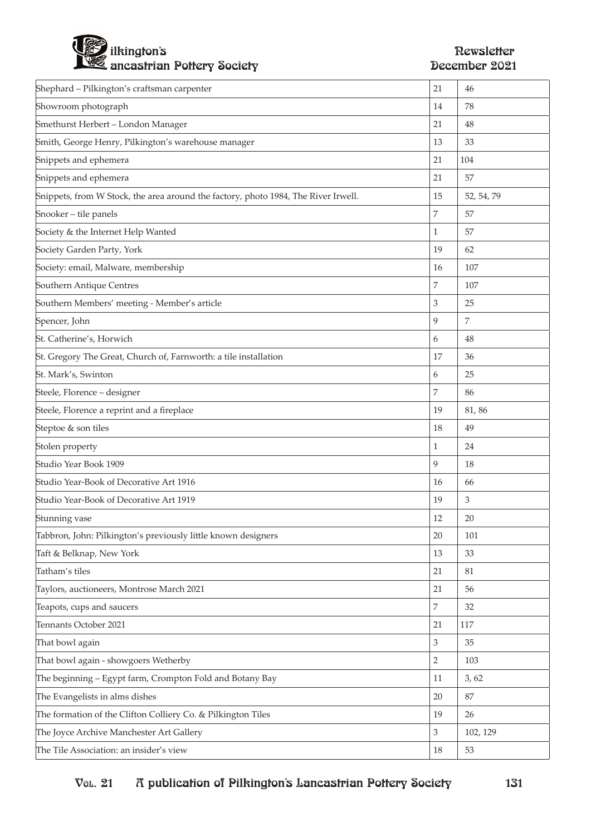

| Shephard - Pilkington's craftsman carpenter                                        | 21             | 46         |
|------------------------------------------------------------------------------------|----------------|------------|
| Showroom photograph                                                                | 14             | 78         |
| Smethurst Herbert - London Manager                                                 | 21             | 48         |
| Smith, George Henry, Pilkington's warehouse manager                                | 13             | 33         |
| Snippets and ephemera                                                              | 21             | 104        |
| Snippets and ephemera                                                              | 21             | 57         |
| Snippets, from W Stock, the area around the factory, photo 1984, The River Irwell. | 15             | 52, 54, 79 |
| Snooker - tile panels                                                              | $\overline{7}$ | 57         |
| Society & the Internet Help Wanted                                                 | $\mathbf{1}$   | 57         |
| Society Garden Party, York                                                         | 19             | 62         |
| Society: email, Malware, membership                                                | 16             | 107        |
| Southern Antique Centres                                                           | $\overline{7}$ | 107        |
| Southern Members' meeting - Member's article                                       | $\mathfrak 3$  | 25         |
| Spencer, John                                                                      | 9              | 7          |
| St. Catherine's, Horwich                                                           | 6              | 48         |
| St. Gregory The Great, Church of, Farnworth: a tile installation                   | 17             | 36         |
| St. Mark's, Swinton                                                                | 6              | 25         |
| Steele, Florence - designer                                                        | 7              | 86         |
| Steele, Florence a reprint and a fireplace                                         | 19             | 81,86      |
| Steptoe & son tiles                                                                | 18             | 49         |
| Stolen property                                                                    | $\mathbf{1}$   | 24         |
| Studio Year Book 1909                                                              | 9              | 18         |
| Studio Year-Book of Decorative Art 1916                                            | 16             | 66         |
| Studio Year-Book of Decorative Art 1919                                            | 19             | 3          |
| Stunning vase                                                                      | 12             | 20         |
| Tabbron, John: Pilkington's previously little known designers                      | 20             | 101        |
| Taft & Belknap, New York                                                           | 13             | 33         |
| Tatham's tiles                                                                     | 21             | 81         |
| Taylors, auctioneers, Montrose March 2021                                          | 21             | 56         |
| Teapots, cups and saucers                                                          | $\overline{7}$ | 32         |
| Tennants October 2021                                                              | 21             | 117        |
| That bowl again                                                                    | $\mathfrak{Z}$ | 35         |
| That bowl again - showgoers Wetherby                                               | $\sqrt{2}$     | 103        |
| The beginning - Egypt farm, Crompton Fold and Botany Bay                           | 11             | 3,62       |
| The Evangelists in alms dishes                                                     | 20             | 87         |
| The formation of the Clifton Colliery Co. & Pilkington Tiles                       | 19             | 26         |
| The Joyce Archive Manchester Art Gallery                                           | $\mathfrak{Z}$ | 102, 129   |
| The Tile Association: an insider's view                                            | 18             | 53         |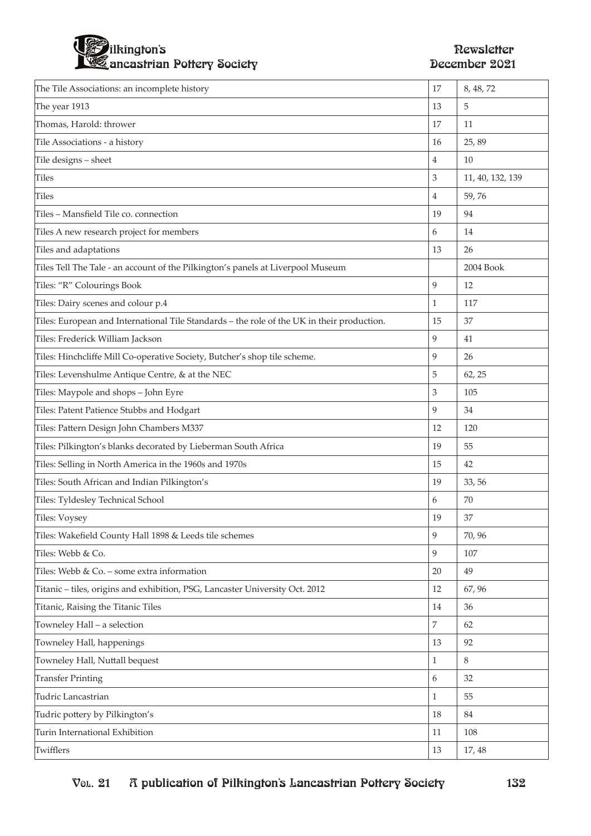

| The Tile Associations: an incomplete history                                               | 17             | 8, 48, 72        |
|--------------------------------------------------------------------------------------------|----------------|------------------|
| The year 1913                                                                              | 13             | 5                |
| Thomas, Harold: thrower                                                                    | 17             | 11               |
| Tile Associations - a history                                                              | 16             | 25,89            |
| Tile designs - sheet                                                                       | $\overline{4}$ | 10               |
| <b>Tiles</b>                                                                               | 3              | 11, 40, 132, 139 |
| Tiles                                                                                      | $\overline{4}$ | 59,76            |
| Tiles - Mansfield Tile co. connection                                                      | 19             | 94               |
| Tiles A new research project for members                                                   | 6              | 14               |
| Tiles and adaptations                                                                      | 13             | 26               |
| Tiles Tell The Tale - an account of the Pilkington's panels at Liverpool Museum            |                | 2004 Book        |
| Tiles: "R" Colourings Book                                                                 | 9              | 12               |
| Tiles: Dairy scenes and colour p.4                                                         | 1              | 117              |
| Tiles: European and International Tile Standards - the role of the UK in their production. | 15             | 37               |
| Tiles: Frederick William Jackson                                                           | 9              | 41               |
| Tiles: Hinchcliffe Mill Co-operative Society, Butcher's shop tile scheme.                  | 9              | 26               |
| Tiles: Levenshulme Antique Centre, & at the NEC                                            | 5              | 62, 25           |
| Tiles: Maypole and shops - John Eyre                                                       | 3              | 105              |
| Tiles: Patent Patience Stubbs and Hodgart                                                  | 9              | 34               |
| Tiles: Pattern Design John Chambers M337                                                   | 12             | 120              |
| Tiles: Pilkington's blanks decorated by Lieberman South Africa                             | 19             | 55               |
| Tiles: Selling in North America in the 1960s and 1970s                                     | 15             | 42               |
| Tiles: South African and Indian Pilkington's                                               | 19             | 33, 56           |
| Tiles: Tyldesley Technical School                                                          | 6              | 70               |
| Tiles: Voysey                                                                              | 19             | 37               |
| Tiles: Wakefield County Hall 1898 & Leeds tile schemes                                     | 9              | 70, 96           |
| Tiles: Webb & Co.                                                                          | 9              | 107              |
| Tiles: Webb & Co. - some extra information                                                 | 20             | 49               |
| Titanic - tiles, origins and exhibition, PSG, Lancaster University Oct. 2012               | 12             | 67, 96           |
| Titanic, Raising the Titanic Tiles                                                         | 14             | 36               |
| Towneley Hall - a selection                                                                | $\overline{7}$ | 62               |
| Towneley Hall, happenings                                                                  | 13             | 92               |
| Towneley Hall, Nuttall bequest                                                             | $\mathbf{1}$   | 8                |
| <b>Transfer Printing</b>                                                                   | 6              | 32               |
| Tudric Lancastrian                                                                         | $\mathbf{1}$   | 55               |
| Tudric pottery by Pilkington's                                                             | 18             | 84               |
| Turin International Exhibition                                                             | 11             | 108              |
| Twifflers                                                                                  | 13             | 17, 48           |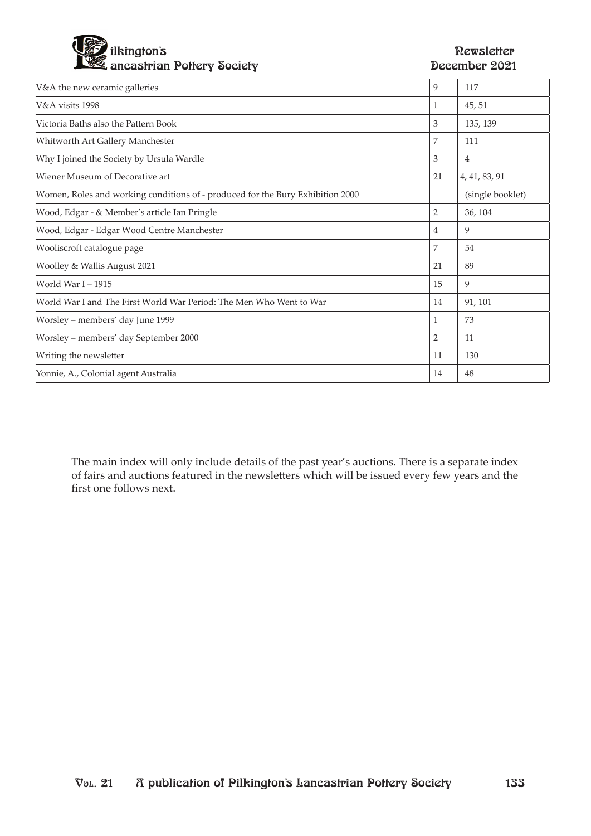

| V&A the new ceramic galleries                                                  | 9              | 117              |
|--------------------------------------------------------------------------------|----------------|------------------|
| V&A visits 1998                                                                | 1              | 45, 51           |
| Victoria Baths also the Pattern Book                                           | 3              | 135, 139         |
| Whitworth Art Gallery Manchester                                               | 7              | 111              |
| Why I joined the Society by Ursula Wardle                                      | 3              | 4                |
| Wiener Museum of Decorative art                                                | 21             | 4, 41, 83, 91    |
| Women, Roles and working conditions of - produced for the Bury Exhibition 2000 |                | (single booklet) |
| Wood, Edgar - & Member's article Ian Pringle                                   | $\overline{2}$ | 36, 104          |
| Wood, Edgar - Edgar Wood Centre Manchester                                     | $\overline{4}$ | 9                |
| Wooliscroft catalogue page                                                     | 7              | 54               |
| Woolley & Wallis August 2021                                                   | 21             | 89               |
| World War I - 1915                                                             | 15             | 9                |
| World War I and The First World War Period: The Men Who Went to War            | 14             | 91, 101          |
| Worsley – members' day June 1999                                               | 1              | 73               |
| Worsley - members' day September 2000                                          | $\overline{2}$ | 11               |
| Writing the newsletter                                                         | 11             | 130              |
| Yonnie, A., Colonial agent Australia                                           | 14             | 48               |

The main index will only include details of the past year's auctions. There is a separate index of fairs and auctions featured in the newsletters which will be issued every few years and the first one follows next.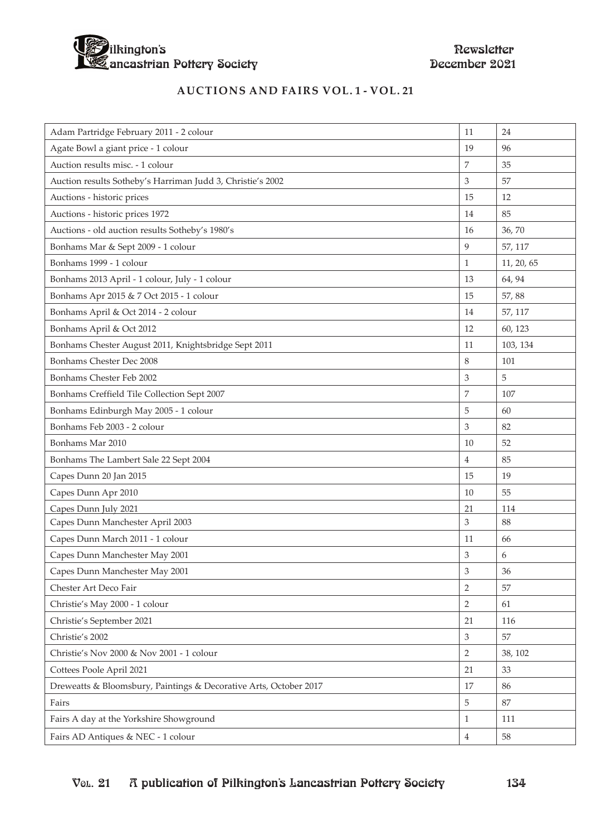

### **auctions and fairs vol. 1 - vol. 21**

| Adam Partridge February 2011 - 2 colour                           | 11             | 24         |
|-------------------------------------------------------------------|----------------|------------|
| Agate Bowl a giant price - 1 colour                               | 19             | 96         |
| Auction results misc. - 1 colour                                  | 7              | 35         |
| Auction results Sotheby's Harriman Judd 3, Christie's 2002        | 3              | 57         |
| Auctions - historic prices                                        | 15             | 12         |
| Auctions - historic prices 1972                                   | 14             | 85         |
| Auctions - old auction results Sotheby's 1980's                   | 16             | 36,70      |
| Bonhams Mar & Sept 2009 - 1 colour                                | 9              | 57, 117    |
| Bonhams 1999 - 1 colour                                           | $\mathbf{1}$   | 11, 20, 65 |
| Bonhams 2013 April - 1 colour, July - 1 colour                    | 13             | 64, 94     |
| Bonhams Apr 2015 & 7 Oct 2015 - 1 colour                          | 15             | 57,88      |
| Bonhams April & Oct 2014 - 2 colour                               | 14             | 57, 117    |
| Bonhams April & Oct 2012                                          | 12             | 60, 123    |
| Bonhams Chester August 2011, Knightsbridge Sept 2011              | 11             | 103, 134   |
| Bonhams Chester Dec 2008                                          | 8              | 101        |
| Bonhams Chester Feb 2002                                          | 3              | 5          |
| Bonhams Creffield Tile Collection Sept 2007                       | 7              | 107        |
| Bonhams Edinburgh May 2005 - 1 colour                             | 5              | 60         |
| Bonhams Feb 2003 - 2 colour                                       | 3              | 82         |
| Bonhams Mar 2010                                                  | 10             | 52         |
| Bonhams The Lambert Sale 22 Sept 2004                             | $\overline{4}$ | 85         |
| Capes Dunn 20 Jan 2015                                            | 15             | 19         |
| Capes Dunn Apr 2010                                               | 10             | 55         |
| Capes Dunn July 2021                                              | 21             | 114        |
| Capes Dunn Manchester April 2003                                  | 3              | 88         |
| Capes Dunn March 2011 - 1 colour                                  | 11             | 66         |
| Capes Dunn Manchester May 2001                                    | 3              | 6          |
| Capes Dunn Manchester May 2001                                    | 3              | 36         |
| Chester Art Deco Fair                                             | $\overline{2}$ | 57         |
| Christie's May 2000 - 1 colour                                    | 2              | 61         |
| Christie's September 2021                                         | 21             | 116        |
| Christie's 2002                                                   | 3              | 57         |
| Christie's Nov 2000 & Nov 2001 - 1 colour                         | $\overline{2}$ | 38, 102    |
| Cottees Poole April 2021                                          | 21             | 33         |
| Dreweatts & Bloomsbury, Paintings & Decorative Arts, October 2017 | 17             | 86         |
| Fairs                                                             | 5              | 87         |
| Fairs A day at the Yorkshire Showground                           | $\mathbf{1}$   | 111        |
| Fairs AD Antiques & NEC - 1 colour                                | $\overline{4}$ | 58         |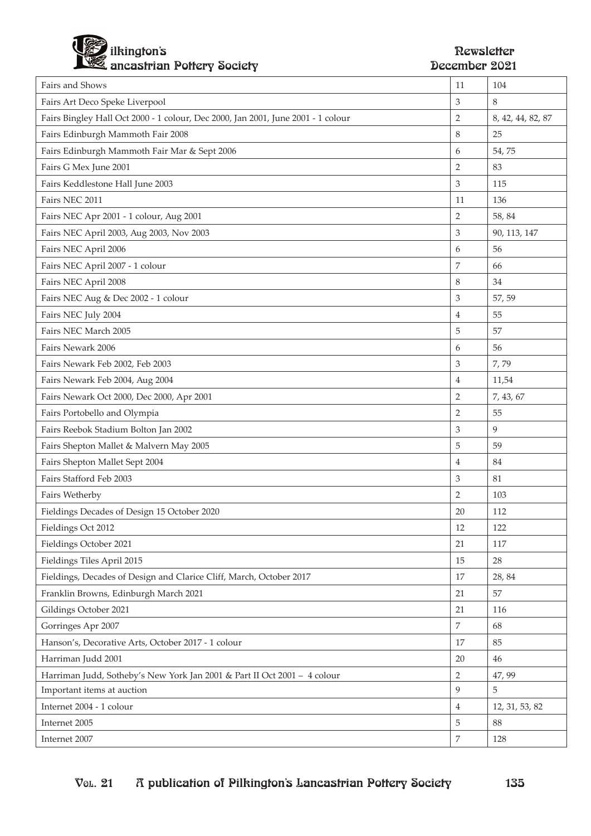

| Fairs and Shows                                                                  | 11             | 104               |
|----------------------------------------------------------------------------------|----------------|-------------------|
| Fairs Art Deco Speke Liverpool                                                   | 3              | 8                 |
| Fairs Bingley Hall Oct 2000 - 1 colour, Dec 2000, Jan 2001, June 2001 - 1 colour | $\overline{2}$ | 8, 42, 44, 82, 87 |
| Fairs Edinburgh Mammoth Fair 2008                                                | 8              | 25                |
| Fairs Edinburgh Mammoth Fair Mar & Sept 2006                                     | 6              | 54,75             |
| Fairs G Mex June 2001                                                            | $\overline{2}$ | 83                |
| Fairs Keddlestone Hall June 2003                                                 | 3              | 115               |
| Fairs NEC 2011                                                                   | 11             | 136               |
| Fairs NEC Apr 2001 - 1 colour, Aug 2001                                          | $\overline{2}$ | 58, 84            |
| Fairs NEC April 2003, Aug 2003, Nov 2003                                         | 3              | 90, 113, 147      |
| Fairs NEC April 2006                                                             | 6              | 56                |
| Fairs NEC April 2007 - 1 colour                                                  | 7              | 66                |
| Fairs NEC April 2008                                                             | 8              | 34                |
| Fairs NEC Aug & Dec 2002 - 1 colour                                              | 3              | 57, 59            |
| Fairs NEC July 2004                                                              | $\overline{4}$ | 55                |
| Fairs NEC March 2005                                                             | 5              | 57                |
| Fairs Newark 2006                                                                | 6              | 56                |
| Fairs Newark Feb 2002, Feb 2003                                                  | 3              | 7,79              |
| Fairs Newark Feb 2004, Aug 2004                                                  | $\overline{4}$ | 11,54             |
| Fairs Newark Oct 2000, Dec 2000, Apr 2001                                        | $\overline{2}$ | 7, 43, 67         |
| Fairs Portobello and Olympia                                                     | $\overline{2}$ | 55                |
| Fairs Reebok Stadium Bolton Jan 2002                                             | 3              | 9                 |
| Fairs Shepton Mallet & Malvern May 2005                                          | 5              | 59                |
| Fairs Shepton Mallet Sept 2004                                                   | $\overline{4}$ | 84                |
| Fairs Stafford Feb 2003                                                          | $\mathfrak 3$  | 81                |
| Fairs Wetherby                                                                   | $\overline{2}$ | 103               |
| Fieldings Decades of Design 15 October 2020                                      | 20             | 112               |
| Fieldings Oct 2012                                                               | 12             | 122               |
| Fieldings October 2021                                                           | 21             | 117               |
| Fieldings Tiles April 2015                                                       | 15             | 28                |
| Fieldings, Decades of Design and Clarice Cliff, March, October 2017              | 17             | 28, 84            |
| Franklin Browns, Edinburgh March 2021                                            | 21             | 57                |
| Gildings October 2021                                                            | 21             | 116               |
| Gorringes Apr 2007                                                               | $\overline{7}$ | 68                |
| Hanson's, Decorative Arts, October 2017 - 1 colour                               | 17             | 85                |
| Harriman Judd 2001                                                               | $20\,$         | 46                |
| Harriman Judd, Sotheby's New York Jan 2001 & Part II Oct 2001 - 4 colour         | $\overline{2}$ | 47, 99            |
| Important items at auction                                                       | 9              | 5                 |
| Internet 2004 - 1 colour                                                         | $\overline{4}$ | 12, 31, 53, 82    |
| Internet 2005                                                                    | 5              | 88                |
| Internet 2007                                                                    | $\overline{7}$ | 128               |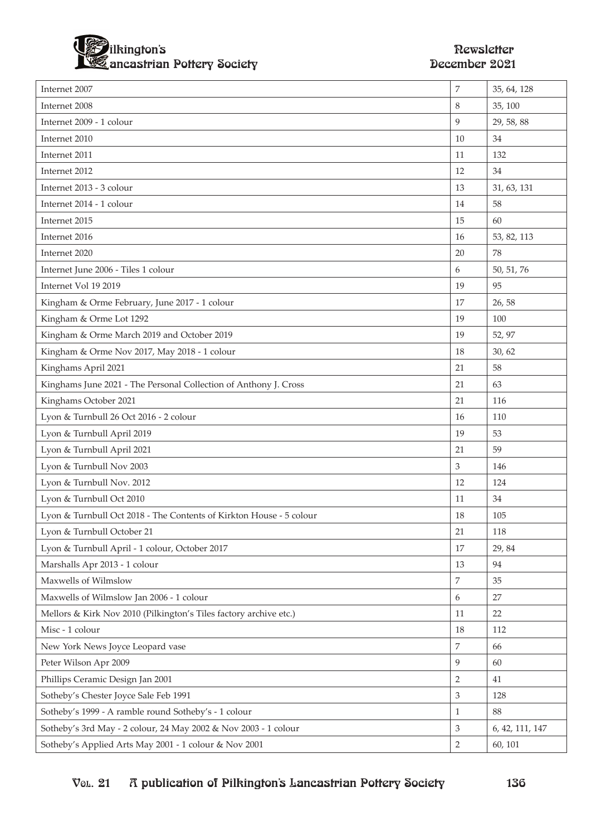

| Internet 2007                                                       | 7              | 35, 64, 128     |
|---------------------------------------------------------------------|----------------|-----------------|
| Internet 2008                                                       | 8              | 35, 100         |
| Internet 2009 - 1 colour                                            | 9              | 29, 58, 88      |
| Internet 2010                                                       | 10             | 34              |
| Internet 2011                                                       | 11             | 132             |
| Internet 2012                                                       | 12             | 34              |
| Internet 2013 - 3 colour                                            | 13             | 31, 63, 131     |
| Internet 2014 - 1 colour                                            | 14             | 58              |
| Internet 2015                                                       | 15             | 60              |
| Internet 2016                                                       | 16             | 53, 82, 113     |
| Internet 2020                                                       | 20             | 78              |
| Internet June 2006 - Tiles 1 colour                                 | 6              | 50, 51, 76      |
| Internet Vol 19 2019                                                | 19             | 95              |
| Kingham & Orme February, June 2017 - 1 colour                       | 17             | 26,58           |
| Kingham & Orme Lot 1292                                             | 19             | 100             |
| Kingham & Orme March 2019 and October 2019                          | 19             | 52, 97          |
| Kingham & Orme Nov 2017, May 2018 - 1 colour                        | 18             | 30, 62          |
| Kinghams April 2021                                                 | 21             | 58              |
| Kinghams June 2021 - The Personal Collection of Anthony J. Cross    | 21             | 63              |
| Kinghams October 2021                                               | 21             | 116             |
| Lyon & Turnbull 26 Oct 2016 - 2 colour                              | 16             | 110             |
| Lyon & Turnbull April 2019                                          | 19             | 53              |
| Lyon & Turnbull April 2021                                          | 21             | 59              |
| Lyon & Turnbull Nov 2003                                            | 3              | 146             |
| Lyon & Turnbull Nov. 2012                                           | 12             | 124             |
| Lyon & Turnbull Oct 2010                                            | 11             | 34              |
| Lyon & Turnbull Oct 2018 - The Contents of Kirkton House - 5 colour | 18             | 105             |
| Lyon & Turnbull October 21                                          | 21             | 118             |
| Lyon & Turnbull April - 1 colour, October 2017                      | 17             | 29,84           |
| Marshalls Apr 2013 - 1 colour                                       | 13             | 94              |
| Maxwells of Wilmslow                                                | 7              | 35              |
| Maxwells of Wilmslow Jan 2006 - 1 colour                            | 6              | 27              |
| Mellors & Kirk Nov 2010 (Pilkington's Tiles factory archive etc.)   | 11             | 22              |
| Misc - 1 colour                                                     | 18             | 112             |
| New York News Joyce Leopard vase                                    | 7              | 66              |
| Peter Wilson Apr 2009                                               | 9              | 60              |
| Phillips Ceramic Design Jan 2001                                    | $\overline{2}$ | 41              |
| Sotheby's Chester Joyce Sale Feb 1991                               | 3              | 128             |
| Sotheby's 1999 - A ramble round Sotheby's - 1 colour                | $\mathbf{1}$   | 88              |
| Sotheby's 3rd May - 2 colour, 24 May 2002 & Nov 2003 - 1 colour     | 3              | 6, 42, 111, 147 |
| Sotheby's Applied Arts May 2001 - 1 colour & Nov 2001               | $\overline{2}$ | 60, 101         |